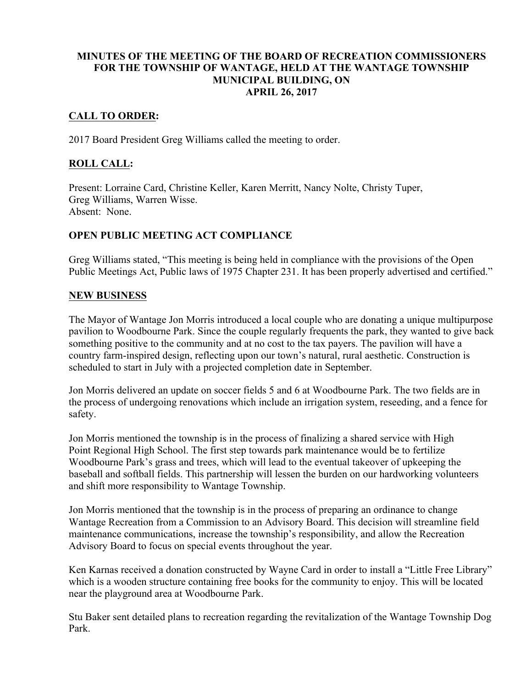### **MINUTES OF THE MEETING OF THE BOARD OF RECREATION COMMISSIONERS FOR THE TOWNSHIP OF WANTAGE, HELD AT THE WANTAGE TOWNSHIP MUNICIPAL BUILDING, ON APRIL 26, 2017**

### **CALL TO ORDER:**

2017 Board President Greg Williams called the meeting to order.

### **ROLL CALL:**

Present: Lorraine Card, Christine Keller, Karen Merritt, Nancy Nolte, Christy Tuper, Greg Williams, Warren Wisse. Absent: None.

#### **OPEN PUBLIC MEETING ACT COMPLIANCE**

Greg Williams stated, "This meeting is being held in compliance with the provisions of the Open Public Meetings Act, Public laws of 1975 Chapter 231. It has been properly advertised and certified."

#### **NEW BUSINESS**

The Mayor of Wantage Jon Morris introduced a local couple who are donating a unique multipurpose pavilion to Woodbourne Park. Since the couple regularly frequents the park, they wanted to give back something positive to the community and at no cost to the tax payers. The pavilion will have a country farm-inspired design, reflecting upon our town's natural, rural aesthetic. Construction is scheduled to start in July with a projected completion date in September.

Jon Morris delivered an update on soccer fields 5 and 6 at Woodbourne Park. The two fields are in the process of undergoing renovations which include an irrigation system, reseeding, and a fence for safety.

Jon Morris mentioned the township is in the process of finalizing a shared service with High Point Regional High School. The first step towards park maintenance would be to fertilize Woodbourne Park's grass and trees, which will lead to the eventual takeover of upkeeping the baseball and softball fields. This partnership will lessen the burden on our hardworking volunteers and shift more responsibility to Wantage Township.

Jon Morris mentioned that the township is in the process of preparing an ordinance to change Wantage Recreation from a Commission to an Advisory Board. This decision will streamline field maintenance communications, increase the township's responsibility, and allow the Recreation Advisory Board to focus on special events throughout the year.

Ken Karnas received a donation constructed by Wayne Card in order to install a "Little Free Library" which is a wooden structure containing free books for the community to enjoy. This will be located near the playground area at Woodbourne Park.

Stu Baker sent detailed plans to recreation regarding the revitalization of the Wantage Township Dog Park.